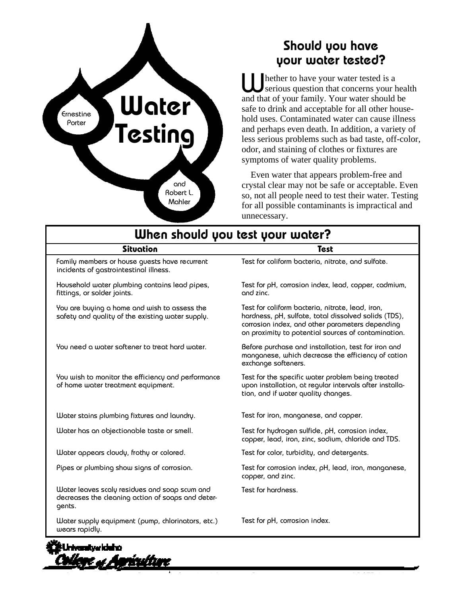

### Should you have your water tested?

hether to have your water tested is a serious question that concerns your health **Let the Solution School** Serious question that concerns your head and that of your family. Your water should be safe to drink and acceptable for all other household uses. Contaminated water can cause illness and perhaps even death. In addition, a variety of less serious problems such as bad taste, off-color, odor, and staining of clothes or fixtures are symptoms of water quality problems.

Even water that appears problem-free and crystal clear may not be safe or acceptable. Even so, not all people need to test their water. Testing for all possible contaminants is impractical and unnecessary.

| When should you test your water?                                                                             |                                                                                                                                                                                                                    |
|--------------------------------------------------------------------------------------------------------------|--------------------------------------------------------------------------------------------------------------------------------------------------------------------------------------------------------------------|
| Situation                                                                                                    | Test                                                                                                                                                                                                               |
| Family members or house quests have recurrent<br>incidents of gastrointestinal illness.                      | Test for coliform bacteria, nitrate, and sulfate.                                                                                                                                                                  |
| Household water plumbing contains lead pipes,<br>fittings, or solder joints.                                 | Test for pH, corrosion index, lead, copper, cadmium,<br>and zinc.                                                                                                                                                  |
| You are buying a home and wish to assess the<br>safety and quality of the existing water supply.             | Test for coliform bacteria, nitrate, lead, iron,<br>hardness, pH, sulfate, total dissolved solids (TDS),<br>corrosion index, and other parameters depending<br>on proximity to potential sources of contamination. |
| You need a water softener to treat hard water.                                                               | Before purchase and installation, test for iron and<br>manganese, which decrease the efficiency of cation<br>exchange softeners.                                                                                   |
| You wish to monitor the efficiency and performance<br>of home water treatment equipment.                     | Test for the specific water problem being treated<br>upon installation, at regular intervals after installa-<br>tion, and if water quality changes.                                                                |
| Water stains plumbing fixtures and laundry.                                                                  | Test for iron, manganese, and copper.                                                                                                                                                                              |
| Water has an objectionable taste or smell.                                                                   | Test for hydrogen sulfide, pH, corrosion index,<br>copper, lead, iron, zinc, sodium, chloride and TDS.                                                                                                             |
| Water appears cloudy, frothy or colored.                                                                     | Test for color, turbidity, and detergents.                                                                                                                                                                         |
| Pipes or plumbing show signs of corrosion.                                                                   | Test for corrosion index, pH, lead, iron, manganese,<br>copper, and zinc.                                                                                                                                          |
| Water leaves scaly residues and soap scum and<br>decreases the cleaning action of soaps and deter-<br>gents. | Test for hardness.                                                                                                                                                                                                 |
| Water supply equipment (pump, chlorinators, etc.)<br>wears rapidly.                                          | Test for pH, corrosion index.                                                                                                                                                                                      |

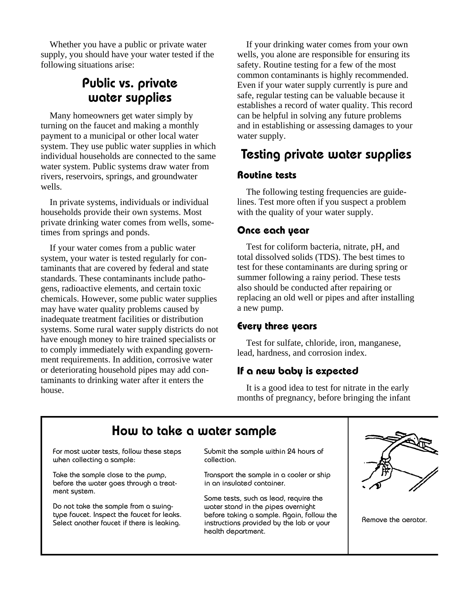Whether you have a public or private water supply, you should have your water tested if the following situations arise:

### Public vs. private water supplies

Many homeowners get water simply by turning on the faucet and making a monthly payment to a municipal or other local water system. They use public water supplies in which individual households are connected to the same water system. Public systems draw water from rivers, reservoirs, springs, and groundwater wells.

In private systems, individuals or individual households provide their own systems. Most private drinking water comes from wells, sometimes from springs and ponds.

If your water comes from a public water system, your water is tested regularly for contaminants that are covered by federal and state standards. These contaminants include pathogens, radioactive elements, and certain toxic chemicals. However, some public water supplies may have water quality problems caused by inadequate treatment facilities or distribution systems. Some rural water supply districts do not have enough money to hire trained specialists or to comply immediately with expanding government requirements. In addition, corrosive water or deteriorating household pipes may add contaminants to drinking water after it enters the house.

If your drinking water comes from your own wells, you alone are responsible for ensuring its safety. Routine testing for a few of the most common contaminants is highly recommended. Even if your water supply currently is pure and safe, regular testing can be valuable because it establishes a record of water quality. This record can be helpful in solving any future problems and in establishing or assessing damages to your water supply.

# Testing private water supplies

#### **Routine tests**

The following testing frequencies are guidelines. Test more often if you suspect a problem with the quality of your water supply.

#### **Once each year**

Test for coliform bacteria, nitrate, pH, and total dissolved solids (TDS). The best times to test for these contaminants are during spring or summer following a rainy period. These tests also should be conducted after repairing or replacing an old well or pipes and after installing a new pump.

### **Every three years**

Test for sulfate, chloride, iron, manganese, lead, hardness, and corrosion index.

### **If a new baby is expected**

It is a good idea to test for nitrate in the early months of pregnancy, before bringing the infant

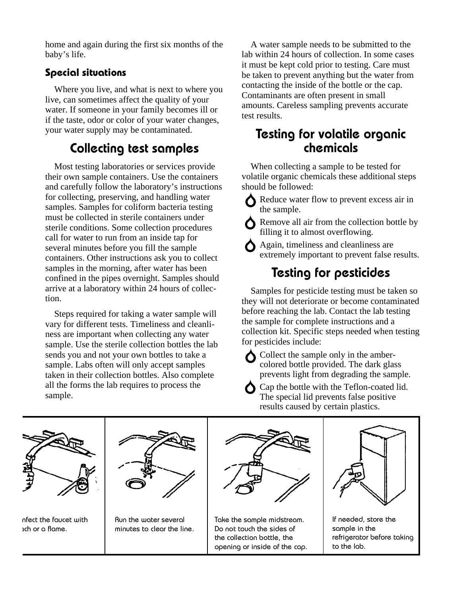home and again during the first six months of the baby's life.

### **Special situations**

Where you live, and what is next to where you live, can sometimes affect the quality of your water. If someone in your family becomes ill or if the taste, odor or color of your water changes, your water supply may be contaminated.

# Collecting test samples

Most testing laboratories or services provide their own sample containers. Use the containers and carefully follow the laboratory's instructions for collecting, preserving, and handling water samples. Samples for coliform bacteria testing must be collected in sterile containers under sterile conditions. Some collection procedures call for water to run from an inside tap for several minutes before you fill the sample containers. Other instructions ask you to collect samples in the morning, after water has been confined in the pipes overnight. Samples should arrive at a laboratory within 24 hours of collection.

Steps required for taking a water sample will vary for different tests. Timeliness and cleanliness are important when collecting any water sample. Use the sterile collection bottles the lab sends you and not your own bottles to take a sample. Labs often will only accept samples taken in their collection bottles. Also complete all the forms the lab requires to process the sample.

A water sample needs to be submitted to the lab within 24 hours of collection. In some cases it must be kept cold prior to testing. Care must be taken to prevent anything but the water from contacting the inside of the bottle or the cap. Contaminants are often present in small amounts. Careless sampling prevents accurate test results.

### Testing for volatile organic chemicals

When collecting a sample to be tested for volatile organic chemicals these additional steps should be followed:

Reduce water flow to prevent excess air in the sample.

Remove all air from the collection bottle by filling it to almost overflowing.

Again, timeliness and cleanliness are extremely important to prevent false results.

# Testing for pesticides

Samples for pesticide testing must be taken so they will not deteriorate or become contaminated before reaching the lab. Contact the lab testing the sample for complete instructions and a collection kit. Specific steps needed when testing for pesticides include:

Collect the sample only in the ambercolored bottle provided. The dark glass prevents light from degrading the sample.

Cap the bottle with the Teflon-coated lid. The special lid prevents false positive results caused by certain plastics.